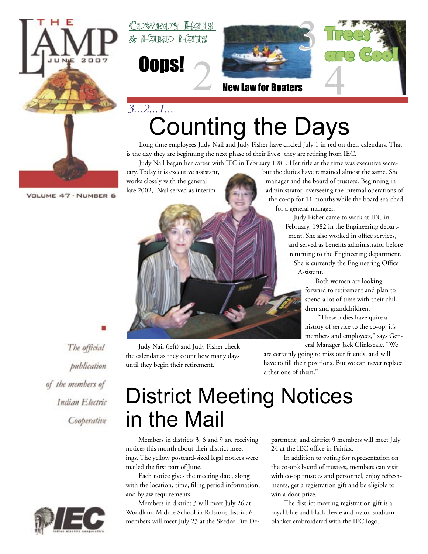

VOLUME 47 · NUMBER 6

**MWR(DY)** <u>& Hard Hats</u>





New Law for Boaters



## Counting the Days *3...2...1...*

Long time employees Judy Nail and Judy Fisher have circled July 1 in red on their calendars. That is the day they are beginning the next phase of their lives: they are retiring from IEC. Judy Nail began her career with IEC in February 1981. Her title at the time was executive secre-

tary. Today it is executive assistant, but the duties have remained almost the same. She works closely with the general manager and the board of trustees. Beginning in late 2002, Nail served as interimeters administrator, overseeing the internal operations of the co-op for 11 months while the board searched for a general manager.

> Judy Fisher came to work at IEC in February, 1982 in the Engineering department. She also worked in office services, and served as benefits administrator before returning to the Engineering department. She is currently the Engineering Office Assistant.

> > Both women are looking forward to retirement and plan to spend a lot of time with their children and grandchildren.

"These ladies have quite a history of service to the co-op, it's members and employees," says General Manager Jack Clinkscale. "We

are certainly going to miss our friends, and will have to fill their positions. But we can never replace either one of them."

### The official publication of the members of Indian Electric Cooperative



Judy Nail (left) and Judy Fisher check the calendar as they count how many days until they begin their retirement.

## District Meeting Notices in the Mail

Members in districts 3, 6 and 9 are receiving notices this month about their district meetings. The yellow postcard-sized legal notices were mailed the first part of June.

Each notice gives the meeting date, along with the location, time, filing period information, and bylaw requirements.

Members in district 3 will meet July 26 at Woodland Middle School in Ralston; district 6 members will meet July 23 at the Skedee Fire Department; and district 9 members will meet July 24 at the IEC office in Fairfax.

In addition to voting for representation on the co-op's board of trustees, members can visit with co-op trustees and personnel, enjoy refreshments, get a registration gift and be eligible to win a door prize.

The district meeting registration gift is a royal blue and black fleece and nylon stadium blanket embroidered with the IEC logo.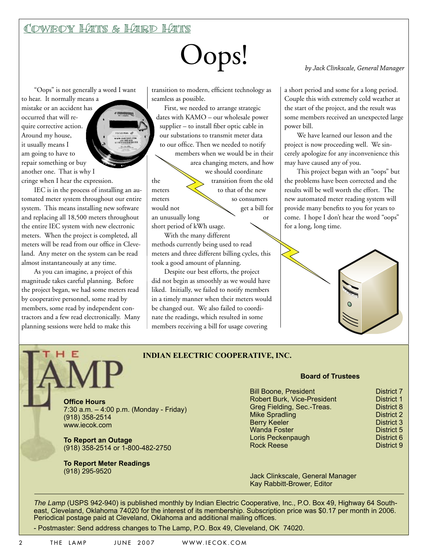### Cowboy Hats & Hard Hats

# Oops! *by Jack Clinkscale, General Manager*

"Oops" is not generally a word I want

to hear. It normally means a mistake or an accident has occurred that will require corrective action. Around my house, it usually means I am going to have to repair something or buy another one. That is why I cringe when I hear the expression.

IEC is in the process of installing an automated meter system throughout our entire system. This means installing new software and replacing all 18,500 meters throughout the entire IEC system with new electronic meters. When the project is completed, all meters will be read from our office in Cleveland. Any meter on the system can be read almost instantaneously at any time.

As you can imagine, a project of this magnitude takes careful planning. Before the project began, we had some meters read by cooperative personnel, some read by members, some read by independent contractors and a few read electronically. Many planning sessions were held to make this

E

transition to modern, efficient technology as seamless as possible.

First, we needed to arrange strategic dates with KAMO – our wholesale power supplier – to install fiber optic cable in our substations to transmit meter data to our office. Then we needed to notify members when we would be in their area changing meters, and how we should coordinate the transition from the old meters  $\left\langle \right\rangle$  to that of the new meters so consumers would not get a bill for an unusually long or short period of kWh usage.

With the many different methods currently being used to read meters and three different billing cycles, this took a good amount of planning.

Despite our best efforts, the project did not begin as smoothly as we would have liked. Initially, we failed to notify members in a timely manner when their meters would be changed out. We also failed to coordinate the readings, which resulted in some members receiving a bill for usage covering

a short period and some for a long period. Couple this with extremely cold weather at the start of the project, and the result was some members received an unexpected large power bill.

We have learned our lesson and the project is now proceeding well. We sincerely apologize for any inconvenience this may have caused any of you.

This project began with an "oops" but the problems have been corrected and the results will be well worth the effort. The new automated meter reading system will provide many benefits to you for years to come. I hope I don't hear the word "oops" for a long, long time.



#### **INDIAN ELECTRIC COOPERATIVE, INC.**

**Office Hours** 7:30 a.m. – 4:00 p.m. (Monday - Friday) (918) 358-2514 www.iecok.com

**To Report an Outage** (918) 358-2514 or 1-800-482-2750

**To Report Meter Readings**  (918) 295-9520

#### **Board of Trustees**

| <b>Bill Boone, President</b>       | <b>District 7</b> |
|------------------------------------|-------------------|
| <b>Robert Burk, Vice-President</b> | <b>District 1</b> |
| Greg Fielding, Sec.-Treas.         | District 8        |
| <b>Mike Spradling</b>              | <b>District 2</b> |
| <b>Berry Keeler</b>                | District 3        |
| <b>Wanda Foster</b>                | District 5        |
| Loris Peckenpaugh                  | District 6        |
| <b>Rock Reese</b>                  | District 9        |

Jack Clinkscale, General Manager Kay Rabbitt-Brower, Editor

*The Lamp* (USPS 942-940) is published monthly by Indian Electric Cooperative, Inc., P.O. Box 49, Highway 64 Southeast, Cleveland, Oklahoma 74020 for the interest of its membership. Subscription price was \$0.17 per month in 2006. Periodical postage paid at Cleveland, Oklahoma and additional mailing offices.

- Postmaster: Send address changes to The Lamp, P.O. Box 49, Cleveland, OK 74020.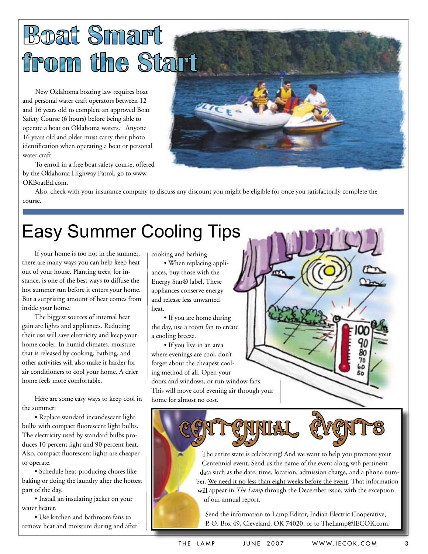# **Boat Smart** from the Start

New Oklahoma boating law requires boat and personal water craft operators between 12 and 16 years old to complete an approved Boat Safety Course (6 hours) before being able to operate a boat on Oklahoma waters. Anyone 16 years old and older must carry their photo identification when operating a boat or personal water craft.

To enroll in a free boat safety course, offered by the Oklahoma Highway Patrol, go to www. OKBoatEd.com.



Also, check with your insurance company to discuss any discount you might be eligible for once you satisfactorily complete the course.

## Easy Summer Cooling Tips

If your home is too hot in the summer, there are many ways you can help keep heat out of your house. Planting trees, for instance, is one of the best ways to diffuse the hot summer sun before it enters your home. But a surprising amount of heat comes from inside your home.

The biggest sources of internal heat gain are lights and appliances. Reducing their use will save electricity and keep your home cooler. In humid climates, moisture that is released by cooking, bathing, and other activities will also make it harder for air conditioners to cool your home. A drier home feels more comfortable.

Here are some easy ways to keep cool in the summer:

• Replace standard incandescent light bulbs with compact fluorescent light bulbs. The electricity used by standard bulbs produces 10 percent light and 90 percent heat. Also, compact fluorescent lights are cheaper to operate.

• Schedule heat-producing chores like baking or doing the laundry after the hottest part of the day.

• Install an insulating jacket on your water heater.

• Use kitchen and bathroom fans to remove heat and moisture during and after cooking and bathing.

• When replacing appliances, buy those with the Energy Star® label. These appliances conserve energy and release less unwanted heat.

• If you are home during the day, use a room fan to create a cooling breeze.

• If you live in an area where evenings are cool, don't forget about the cheapest cooling method of all. Open your doors and windows, or run window fans. This will move cool evening air through your home for almost no cost.

Céntréhimen Cachile

The entire state is celebrating! And we want to help you promote your Centennial event. Send us the name of the event along wth pertinent data such as the date, time, location, admission charge, and a phone number. We need it no less than eight weeks before the event. That information will appear in *The Lamp* through the December issue, with the exception of our annual report.

Send the information to Lamp Editor, Indian Electric Cooperative, P. O. Box 49, Cleveland, OK 74020, or to TheLamp@IECOK.com.